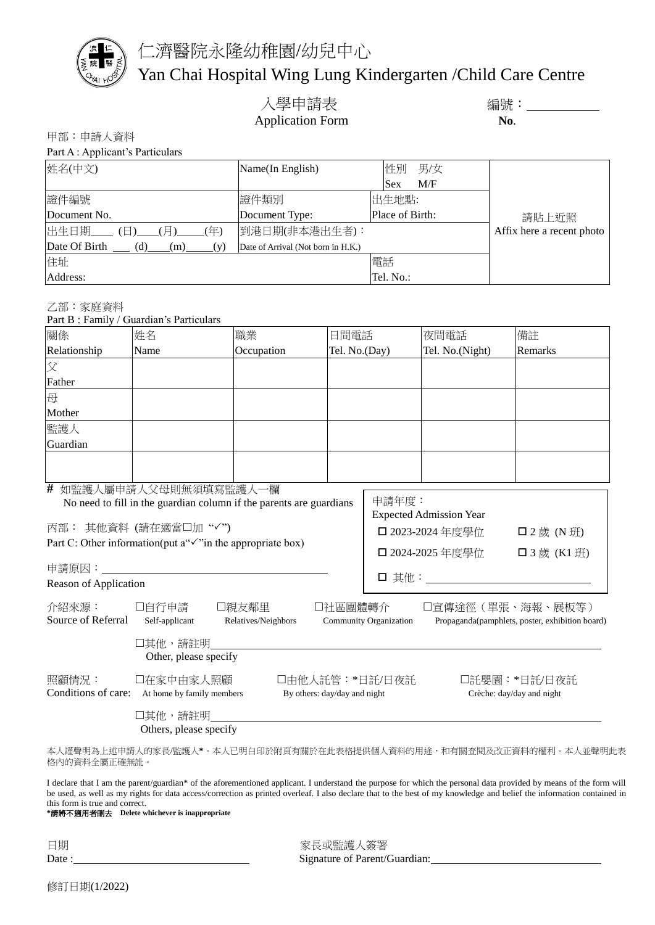

仁濟醫院永隆幼稚園/幼兒中心

## Yan Chai Hospital Wing Lung Kindergarten /Child Care Centre

入學申請表 インディング 編號: 2000年11月11日 Application Form **No**.

甲部:申請人資料

| Part A : Applicant's Particulars               |                                    |                   |                           |
|------------------------------------------------|------------------------------------|-------------------|---------------------------|
| 姓名(中文)                                         | Name(In English)                   | 男/女<br>性別         |                           |
|                                                |                                    | M/F<br><b>Sex</b> |                           |
| 證件編號                                           | 證件類別                               | 出生地點:             |                           |
| Document No.                                   | Document Type:                     | Place of Birth:   | 請貼上近照                     |
| 出生日期___(日)<br>$(\overline{\mathbb{H}})$<br>(年) | 到港日期(非本港出生者):                      |                   | Affix here a recent photo |
| Date Of Birth<br>(d)<br>(m)<br>(v)             | Date of Arrival (Not born in H.K.) |                   |                           |
| 住址                                             |                                    | 電話                |                           |
| Address:                                       |                                    | Tel. No.:         |                           |

乙部:家庭資料

Part B : Family / Guardian's Particulars

| 關係                                                                                                                                                                                                                                                                                                               | 姓名                                                                                             | 職業                           | 日間電話                                                                                                                                                                                                                        |                | 夜間電話            | 備註                                        |
|------------------------------------------------------------------------------------------------------------------------------------------------------------------------------------------------------------------------------------------------------------------------------------------------------------------|------------------------------------------------------------------------------------------------|------------------------------|-----------------------------------------------------------------------------------------------------------------------------------------------------------------------------------------------------------------------------|----------------|-----------------|-------------------------------------------|
| Relationship                                                                                                                                                                                                                                                                                                     | Name                                                                                           | Occupation                   | Tel. No.(Day)                                                                                                                                                                                                               |                | Tel. No.(Night) | Remarks                                   |
| 父                                                                                                                                                                                                                                                                                                                |                                                                                                |                              |                                                                                                                                                                                                                             |                |                 |                                           |
| Father                                                                                                                                                                                                                                                                                                           |                                                                                                |                              |                                                                                                                                                                                                                             |                |                 |                                           |
| 母                                                                                                                                                                                                                                                                                                                |                                                                                                |                              |                                                                                                                                                                                                                             |                |                 |                                           |
| Mother                                                                                                                                                                                                                                                                                                           |                                                                                                |                              |                                                                                                                                                                                                                             |                |                 |                                           |
| 監護人                                                                                                                                                                                                                                                                                                              |                                                                                                |                              |                                                                                                                                                                                                                             |                |                 |                                           |
| Guardian                                                                                                                                                                                                                                                                                                         |                                                                                                |                              |                                                                                                                                                                                                                             |                |                 |                                           |
|                                                                                                                                                                                                                                                                                                                  |                                                                                                |                              |                                                                                                                                                                                                                             |                |                 |                                           |
|                                                                                                                                                                                                                                                                                                                  |                                                                                                |                              |                                                                                                                                                                                                                             |                |                 |                                           |
| # 如監護人屬申請人父母則無須填寫監護人一欄<br>No need to fill in the guardian column if the parents are guardians<br>丙部: 其他資料 (請在適當□加"√")<br>Part C: Other information(put a"√"in the appropriate box)<br>Reason of Application<br>介紹來源:<br>口自行申請<br>口親友鄰里<br>口社區團體轉介<br>Source of Referral<br>Self-applicant<br>Relatives/Neighbors |                                                                                                |                              | 申請年度:<br><b>Expected Admission Year</b><br>□ 2023-2024 年度學位<br>$\Box$ 2 歲 (N 班)<br>□ 2024-2025 年度學位<br>□ 3 歲 (K1 班)<br>口宣傳途徑(單張、海報、展板等)<br><b>Community Organization</b><br>Propaganda(pamphlets, poster, exhibition board) |                |                 |                                           |
| 照顧情況:                                                                                                                                                                                                                                                                                                            | 口其他,請註明<br>Other, please specify<br>口在家中由家人照顧<br>Conditions of care: At home by family members | By others: day/day and night |                                                                                                                                                                                                                             | 口由他人託管:*日託/日夜託 |                 | 口託嬰園:*日託/日夜託<br>Crèche: day/day and night |
|                                                                                                                                                                                                                                                                                                                  | 口其他,請註明<br>Others, please specify                                                              |                              |                                                                                                                                                                                                                             |                |                 |                                           |

本人謹聲明為上述申請人的家長/監護人**\***。本人已明白印於附頁有關於在此表格提供個人資料的用途,和有關查閱及改正資料的權利。本人並聲明此表 格內的資料全屬正確無訛。

I declare that I am the parent/guardian\* of the aforementioned applicant. I understand the purpose for which the personal data provided by means of the form will be used, as well as my rights for data access/correction as printed overleaf. I also declare that to the best of my knowledge and belief the information contained in this form is true and correct.

**\***請將不適用者刪去 **Delete whichever is inappropriate**

日期 家長或監護人簽署 Signature of Parent/Guardian: